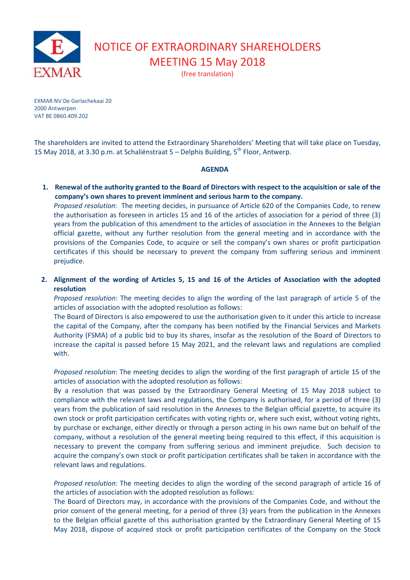

NOTICE OF EXTRAORDINARY SHAREHOLDERS MEETING 15 May 2018

(free translation)

EXMAR NV De Gerlachekaai 20 2000 Antwerpen VAT BE 0860.409.202

The shareholders are invited to attend the Extraordinary Shareholders' Meeting that will take place on Tuesday, 15 May 2018, at 3.30 p.m. at Schaliënstraat 5 – Delphis Building, 5<sup>th</sup> Floor, Antwerp.

## **AGENDA**

**1. Renewal of the authority granted to the Board of Directors with respect to the acquisition or sale of the company's own shares to prevent imminent and serious harm to the company.** 

*Proposed resolution*: The meeting decides, in pursuance of Article 620 of the Companies Code, to renew the authorisation as foreseen in articles 15 and 16 of the articles of association for a period of three (3) years from the publication of this amendment to the articles of association in the Annexes to the Belgian official gazette, without any further resolution from the general meeting and in accordance with the provisions of the Companies Code, to acquire or sell the company's own shares or profit participation certificates if this should be necessary to prevent the company from suffering serious and imminent prejudice.

**2. Alignment of the wording of Articles 5, 15 and 16 of the Articles of Association with the adopted resolution** 

*Proposed resolution*: The meeting decides to align the wording of the last paragraph of article 5 of the articles of association with the adopted resolution as follows:

The Board of Directors is also empowered to use the authorisation given to it under this article to increase the capital of the Company, after the company has been notified by the Financial Services and Markets Authority (FSMA) of a public bid to buy its shares, insofar as the resolution of the Board of Directors to increase the capital is passed before 15 May 2021, and the relevant laws and regulations are complied with.

*Proposed resolution*: The meeting decides to align the wording of the first paragraph of article 15 of the articles of association with the adopted resolution as follows:

By a resolution that was passed by the Extraordinary General Meeting of 15 May 2018 subject to compliance with the relevant laws and regulations, the Company is authorised, for a period of three (3) years from the publication of said resolution in the Annexes to the Belgian official gazette, to acquire its own stock or profit participation certificates with voting rights or, where such exist, without voting rights, by purchase or exchange, either directly or through a person acting in his own name but on behalf of the company, without a resolution of the general meeting being required to this effect, if this acquisition is necessary to prevent the company from suffering serious and imminent prejudice. Such decision to acquire the company's own stock or profit participation certificates shall be taken in accordance with the relevant laws and regulations.

*Proposed resolution*: The meeting decides to align the wording of the second paragraph of article 16 of the articles of association with the adopted resolution as follows:

The Board of Directors may, in accordance with the provisions of the Companies Code, and without the prior consent of the general meeting, for a period of three (3) years from the publication in the Annexes to the Belgian official gazette of this authorisation granted by the Extraordinary General Meeting of 15 May 2018, dispose of acquired stock or profit participation certificates of the Company on the Stock